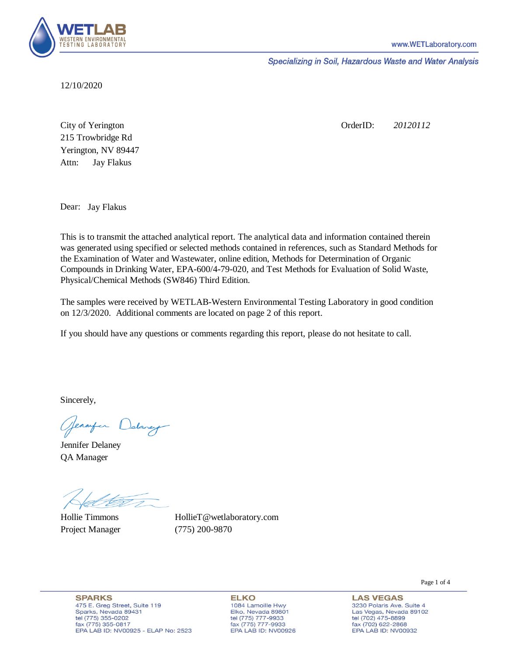

Specializing in Soil, Hazardous Waste and Water Analysis

12/10/2020

Attn: City of Yerington 215 Trowbridge Rd Jay Flakus Yerington, NV 89447 OrderID: *20120112*

Dear: Jay Flakus

This is to transmit the attached analytical report. The analytical data and information contained therein was generated using specified or selected methods contained in references, such as Standard Methods for the Examination of Water and Wastewater, online edition, Methods for Determination of Organic Compounds in Drinking Water, EPA-600/4-79-020, and Test Methods for Evaluation of Solid Waste, Physical/Chemical Methods (SW846) Third Edition.

The samples were received by WETLAB-Western Environmental Testing Laboratory in good condition on 12/3/2020. Additional comments are located on page 2 of this report.

If you should have any questions or comments regarding this report, please do not hesitate to call.

Sincerely,

Genryen Delaney

Jennifer Delaney QA Manager

Hollie Timmons Project Manager (775) 200-9870

HollieT@wetlaboratory.com

**SPARKS** 475 E. Greg Street, Suite 119 Sparks, Nevada 89431 tel (775) 355-0202 fax (775) 355-0817 EPA LAB ID: NV00925 - ELAP No: 2523

**ELKO** 1084 Lamoille Hwy Elko, Nevada 89801 tel (775) 777-9933<br>fax (775) 777-9933 EPA LAB ID: NV00926 **LAS VEGAS** 

Page 1 of 4

3230 Polaris Ave. Suite 4 Las Vegas, Nevada 89102 tel (702) 475-8899<br>fax (702) 622-2868 EPA LAB ID: NV00932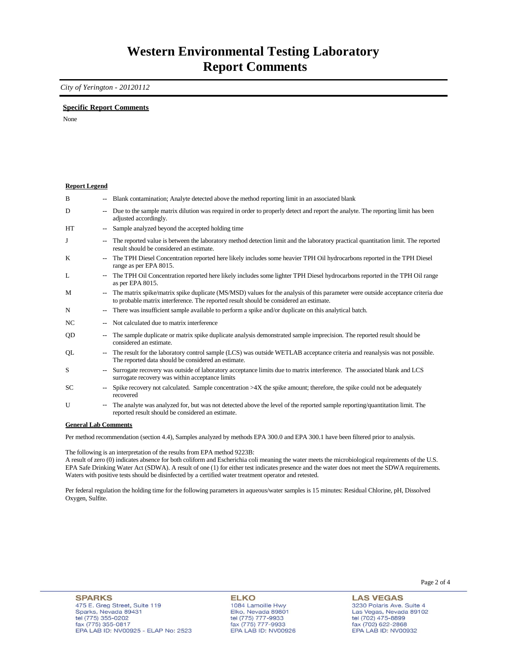## **Western Environmental Testing Laboratory Report Comments**

*City of Yerington - 20120112* 

### **Specific Report Comments**

None

#### **Report Legend**

| B         | --                       | Blank contamination; Analyte detected above the method reporting limit in an associated blank                                                                                                                             |
|-----------|--------------------------|---------------------------------------------------------------------------------------------------------------------------------------------------------------------------------------------------------------------------|
| D         | ۰.                       | Due to the sample matrix dilution was required in order to properly detect and report the analyte. The reporting limit has been<br>adjusted accordingly.                                                                  |
| <b>HT</b> | $\overline{\phantom{a}}$ | Sample analyzed beyond the accepted holding time                                                                                                                                                                          |
| J         | $\overline{\phantom{a}}$ | The reported value is between the laboratory method detection limit and the laboratory practical quantitation limit. The reported<br>result should be considered an estimate.                                             |
| K         | -−                       | The TPH Diesel Concentration reported here likely includes some heavier TPH Oil hydrocarbons reported in the TPH Diesel<br>range as per EPA 8015.                                                                         |
| L         | $\sim$                   | The TPH Oil Concentration reported here likely includes some lighter TPH Diesel hydrocarbons reported in the TPH Oil range<br>as per EPA 8015.                                                                            |
| M         | $\overline{\phantom{a}}$ | The matrix spike/matrix spike duplicate (MS/MSD) values for the analysis of this parameter were outside acceptance criteria due<br>to probable matrix interference. The reported result should be considered an estimate. |
| N         | ۰.                       | There was insufficient sample available to perform a spike and/or duplicate on this analytical batch.                                                                                                                     |
| NC        | --                       | Not calculated due to matrix interference                                                                                                                                                                                 |
| QD        | --                       | The sample duplicate or matrix spike duplicate analysis demonstrated sample imprecision. The reported result should be<br>considered an estimate.                                                                         |
| QL        | $\overline{\phantom{a}}$ | The result for the laboratory control sample (LCS) was outside WETLAB acceptance criteria and reanalysis was not possible.<br>The reported data should be considered an estimate.                                         |
| S         | $\overline{\phantom{a}}$ | Surrogate recovery was outside of laboratory acceptance limits due to matrix interference. The associated blank and LCS<br>surrogate recovery was within acceptance limits                                                |
| <b>SC</b> | $\overline{\phantom{a}}$ | Spike recovery not calculated. Sample concentration $>4X$ the spike amount; therefore, the spike could not be adequately<br>recovered                                                                                     |
| U         | ۰.                       | The analyte was analyzed for, but was not detected above the level of the reported sample reporting/quantitation limit. The<br>reported result should be considered an estimate.                                          |

#### **General Lab Comments**

Per method recommendation (section 4.4), Samples analyzed by methods EPA 300.0 and EPA 300.1 have been filtered prior to analysis.

The following is an interpretation of the results from EPA method 9223B:

A result of zero (0) indicates absence for both coliform and Escherichia coli meaning the water meets the microbiological requirements of the U.S. EPA Safe Drinking Water Act (SDWA). A result of one (1) for either test indicates presence and the water does not meet the SDWA requirements. Waters with positive tests should be disinfected by a certified water treatment operator and retested.

Per federal regulation the holding time for the following parameters in aqueous/water samples is 15 minutes: Residual Chlorine, pH, Dissolved Oxygen, Sulfite.

**ELKO** 1084 Lamoille Hwy<br>Elko, Nevada 89801 tel (775) 777-9933<br>fax (775) 777-9933 EPA LAB ID: NV00926

**LAS VEGAS** 3230 Polaris Ave. Suite 4 Las Vegas, Nevada 89102

tel (702) 475-8899<br>fax (702) 622-2868

EPA LAB ID: NV00932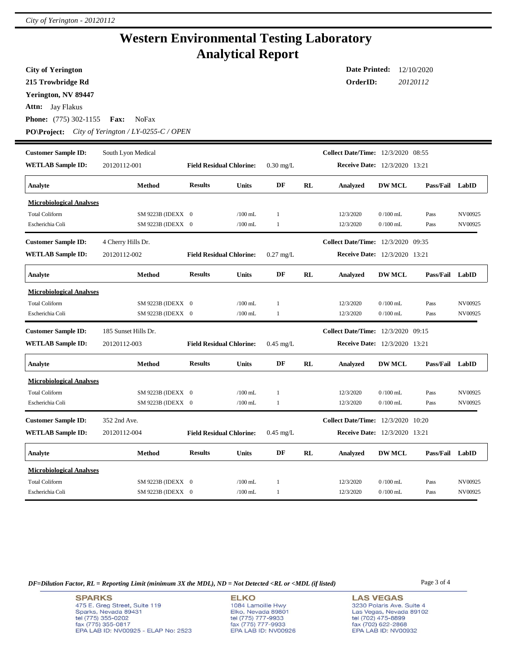### **Western Environmental Testing Laboratory Analytical Report**

**Attn:** Jay Flakus **City of Yerington 215 Trowbridge Rd Phone:** (775) 302-1155 **Fax:** NoFax **Date Printed:** 12/10/2020 **OrderID:** *20120112* **Yerington, NV 89447 PO\Project:** *City of Yerington / LY-0255-C / OPEN* **WETLAB Sample ID:** 20120112-001 **Customer Sample ID: Receive Date:** 12/3/2020 13:21 South Lyon Medical **Collect Date/Time:** 12/3/2020 08:55 **Analyte Method Results Units DF RL Analyzed DW MCL Pass/Fail LabID Field Residual Chlorine:** 0.30 mg/L **Microbiological Analyses** Total Coliform SM 9223B (IDEXX 0 /100 mL 1 12/3/2020 0 /100 mL Pass NV00925 Escherichia Coli SM 9223B (IDEXX 0 /100 mL 1 12/3/2020 0 /100 mL Pass NV00925 **WETLAB Sample ID:** 20120112-002 **Customer Sample ID: Receive Date:** 12/3/2020 13:21 4 Cherry Hills Dr. **Collect Date/Time:** 12/3/2020 09:35 **Analyte Method Results Units DF RL Analyzed DW MCL Pass/Fail LabID Field Residual Chlorine:** 0.27 mg/L **Microbiological Analyses** Total Coliform SM 9223B (IDEXX 0 /100 mL 1 12/3/2020 0 /100 mL Pass NV00925 Escherichia Coli SM 9223B (IDEXX 0 /100 mL 1 12/3/2020 0 /100 mL Pass NV00925 **WETLAB Sample ID:** 20120112-003 **Customer Sample ID: Receive Date:** 12/3/2020 13:21 185 Sunset Hills Dr. **Collect Date/Time:** 12/3/2020 09:15 **Analyte Method Results Units DF RL Analyzed DW MCL Pass/Fail LabID Field Residual Chlorine:** 0.45 mg/L **Microbiological Analyses** Total Coliform SM 9223B (IDEXX 0 /100 mL 1 12/3/2020 0 /100 mL Pass NV00925 Escherichia Coli SM 9223B (IDEXX 0 /100 mL 1 12/3/2020 0 /100 mL Pass NV00925 **WETLAB Sample ID:** 20120112-004 **Customer Sample ID: Receive Date:** 12/3/2020 13:21 352 2nd Ave. **Collect Date/Time:** 12/3/2020 10:20 **Analyte Method Results Units DF RL Analyzed DW MCL Pass/Fail LabID Field Residual Chlorine:** 0.45 mg/L **Microbiological Analyses** Total Coliform SM 9223B (IDEXX 0 /100 mL 1 12/3/2020 0 /100 mL Pass NV00925 Escherichia Coli SM 9223B (IDEXX 0 /100 mL 1 12/3/2020 0 /100 mL Pass NV00925

*DF=Dilution Factor, RL = Reporting Limit (minimum 3X the MDL), ND = Not Detected <RL or <MDL (if listed)* Page 3 of 4

**SPARKS** 475 E. Greg Street, Suite 119 Sparks, Nevada 89431 tel (775) 355-0202 fax (775) 355-0817 EPA LAB ID: NV00925 - ELAP No: 2523

**ELKO** 1084 Lamoille Hwy Elko, Nevada 89801 tel (775) 777-9933<br>fax (775) 777-9933 EPA LAB ID: NV00926 **LAS VEGAS** 3230 Polaris Ave. Suite 4 Las Vegas, Nevada 89102 tel (702) 475-8899 fax (702) 622-2868 EPA LAB ID: NV00932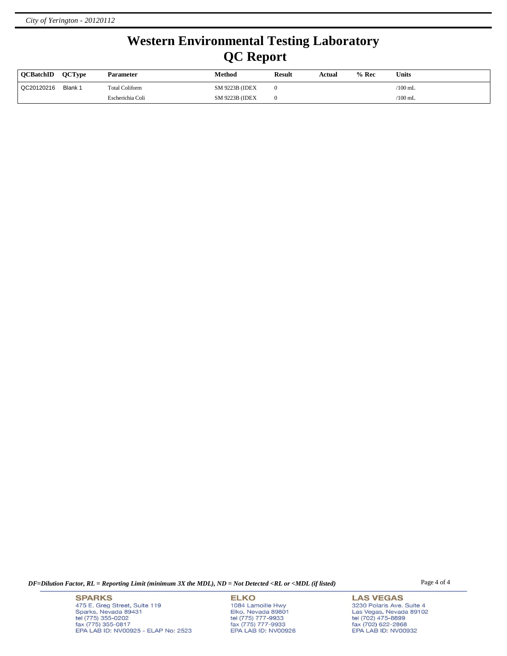# **Western Environmental Testing Laboratory QC Report**

| <b>OCBatchID</b> | <b>OCType</b> | Parameter             | Method                 | <b>Result</b> | Actual | $%$ Rec | Units     |
|------------------|---------------|-----------------------|------------------------|---------------|--------|---------|-----------|
| QC20120216       | Blank 1       | <b>Total Coliform</b> | <b>SM 9223B (IDEX)</b> |               |        |         | /100 mL   |
|                  |               | Escherichia Coli      | <b>SM 9223B (IDEX)</b> |               |        |         | $/100$ mL |

*DF=Dilution Factor, RL = Reporting Limit (minimum 3X the MDL), ND = Not Detected <RL or <MDL (if listed)* Page 4 of 4

**SPARKS** 475 E. Greg Street, Suite 119 Sparks, Nevada 89431<br>tel (775) 355-0202<br>fax (775) 355-0817 EPA LAB ID: NV00925 - ELAP No: 2523

**ELKO** 1084 Lamoille Hwy Elko, Nevada 89801<br>tel (775) 777-9933<br>fax (775) 777-9933 EPA LAB ID: NV00926

**LAS VEGAS** 3230 Polaris Ave. Suite 4 Las Vegas, Nevada 89102<br>tel (702) 475-8899<br>fax (702) 622-2868<br>EPA LAB ID: NV00932